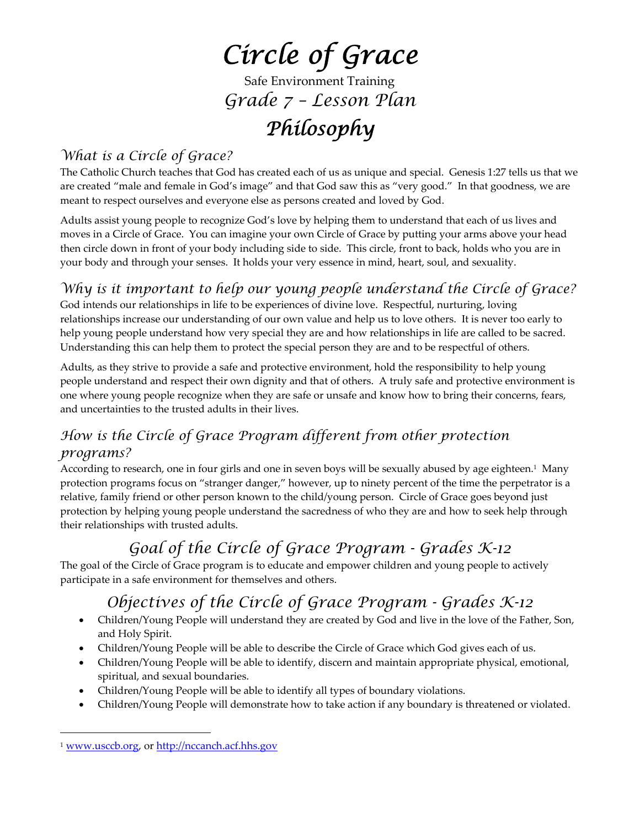# *Circle of Grace*

Safe Environment Training *Grade 7 – Lesson Plan*

# *Philosophy*

## *What is a Circle of Grace?*

The Catholic Church teaches that God has created each of us as unique and special. Genesis 1:27 tells us that we are created "male and female in God's image" and that God saw this as "very good." In that goodness, we are meant to respect ourselves and everyone else as persons created and loved by God.

Adults assist young people to recognize God's love by helping them to understand that each of us lives and moves in a Circle of Grace. You can imagine your own Circle of Grace by putting your arms above your head then circle down in front of your body including side to side. This circle, front to back, holds who you are in your body and through your senses. It holds your very essence in mind, heart, soul, and sexuality.

## *Why is it important to help our young people understand the Circle of Grace?*

God intends our relationships in life to be experiences of divine love. Respectful, nurturing, loving relationships increase our understanding of our own value and help us to love others. It is never too early to help young people understand how very special they are and how relationships in life are called to be sacred. Understanding this can help them to protect the special person they are and to be respectful of others.

Adults, as they strive to provide a safe and protective environment, hold the responsibility to help young people understand and respect their own dignity and that of others. A truly safe and protective environment is one where young people recognize when they are safe or unsafe and know how to bring their concerns, fears, and uncertainties to the trusted adults in their lives.

## *How is the Circle of Grace Program different from other protection programs?*

According to research, one in four girls and one in seven boys will be sexually abused by age eighteen.1 Many protection programs focus on "stranger danger," however, up to ninety percent of the time the perpetrator is a relative, family friend or other person known to the child/young person. Circle of Grace goes beyond just protection by helping young people understand the sacredness of who they are and how to seek help through their relationships with trusted adults.

## *Goal of the Circle of Grace Program - Grades K-12*

The goal of the Circle of Grace program is to educate and empower children and young people to actively participate in a safe environment for themselves and others.

## *Objectives of the Circle of Grace Program - Grades K-12*

- Children/Young People will understand they are created by God and live in the love of the Father, Son, and Holy Spirit.
- Children/Young People will be able to describe the Circle of Grace which God gives each of us.
- Children/Young People will be able to identify, discern and maintain appropriate physical, emotional, spiritual, and sexual boundaries.
- Children/Young People will be able to identify all types of boundary violations.
- Children/Young People will demonstrate how to take action if any boundary is threatened or violated.

 $\overline{a}$ 

<sup>1</sup> www.usccb.org, or http://nccanch.acf.hhs.gov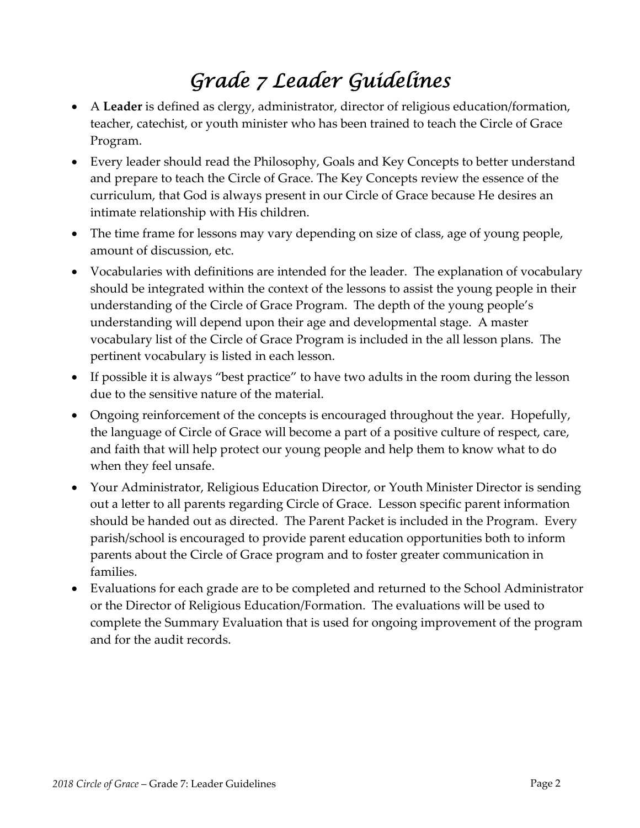# *Grade 7 Leader Guidelines*

- A **Leader** is defined as clergy, administrator, director of religious education/formation, teacher, catechist, or youth minister who has been trained to teach the Circle of Grace Program.
- Every leader should read the Philosophy, Goals and Key Concepts to better understand and prepare to teach the Circle of Grace. The Key Concepts review the essence of the curriculum, that God is always present in our Circle of Grace because He desires an intimate relationship with His children.
- The time frame for lessons may vary depending on size of class, age of young people, amount of discussion, etc.
- Vocabularies with definitions are intended for the leader. The explanation of vocabulary should be integrated within the context of the lessons to assist the young people in their understanding of the Circle of Grace Program. The depth of the young people's understanding will depend upon their age and developmental stage. A master vocabulary list of the Circle of Grace Program is included in the all lesson plans. The pertinent vocabulary is listed in each lesson.
- If possible it is always "best practice" to have two adults in the room during the lesson due to the sensitive nature of the material.
- Ongoing reinforcement of the concepts is encouraged throughout the year. Hopefully, the language of Circle of Grace will become a part of a positive culture of respect, care, and faith that will help protect our young people and help them to know what to do when they feel unsafe.
- Your Administrator, Religious Education Director, or Youth Minister Director is sending out a letter to all parents regarding Circle of Grace. Lesson specific parent information should be handed out as directed. The Parent Packet is included in the Program. Every parish/school is encouraged to provide parent education opportunities both to inform parents about the Circle of Grace program and to foster greater communication in families.
- Evaluations for each grade are to be completed and returned to the School Administrator or the Director of Religious Education/Formation. The evaluations will be used to complete the Summary Evaluation that is used for ongoing improvement of the program and for the audit records.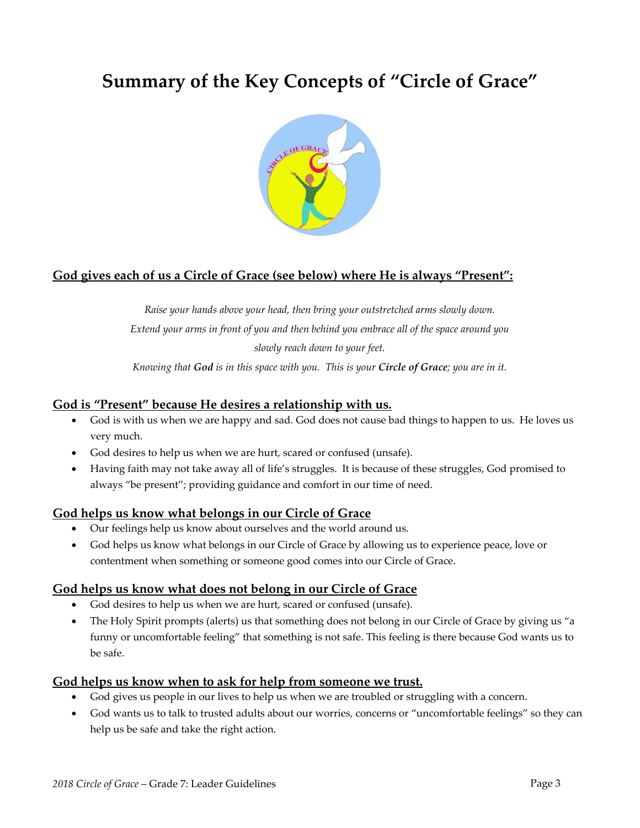## **Summary of the Key Concepts of "Circle of Grace"**



#### **God gives each of us a Circle of Grace (see below) where He is always "Present":**

*Raise your hands above your head, then bring your outstretched arms slowly down. Extend your arms in front of you and then behind you embrace all of the space around you slowly reach down to your feet.*

Knowing that God is in this space with you. This is your Circle of Grace; you are in it.

#### **God is "Present" because He desires a relationship with us.**

- God is with us when we are happy and sad. God does not cause bad things to happen to us. He loves us very much.
- God desires to help us when we are hurt, scared or confused (unsafe).
- Having faith may not take away all of life's struggles. It is because of these struggles, God promised to always "be present"; providing guidance and comfort in our time of need.

#### **God helps us know what belongs in our Circle of Grace**

- Our feelings help us know about ourselves and the world around us.
- God helps us know what belongs in our Circle of Grace by allowing us to experience peace, love or contentment when something or someone good comes into our Circle of Grace.

#### **God helps us know what does not belong in our Circle of Grace**

- God desires to help us when we are hurt, scared or confused (unsafe).
- The Holy Spirit prompts (alerts) us that something does not belong in our Circle of Grace by giving us "a funny or uncomfortable feeling" that something is not safe. This feeling is there because God wants us to be safe.

#### **God helps us know when to ask for help from someone we trust.**

- God gives us people in our lives to help us when we are troubled or struggling with a concern.
- God wants us to talk to trusted adults about our worries, concerns or "uncomfortable feelings" so they can help us be safe and take the right action.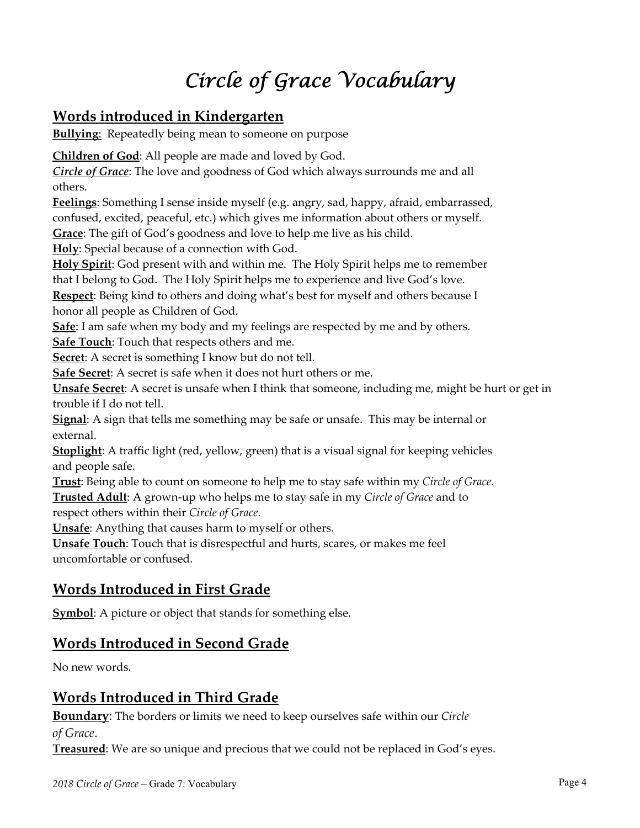# *Circle of Grace Vocabulary*

## **Words introduced in Kindergarten**

**Bullying:** Repeatedly being mean to someone on purpose

**Children of God**: All people are made and loved by God.

*Circle of Grace*: The love and goodness of God which always surrounds me and all others.

**Feelings**: Something I sense inside myself (e.g. angry, sad, happy, afraid, embarrassed, confused, excited, peaceful, etc.) which gives me information about others or myself.

**Grace**: The gift of God's goodness and love to help me live as his child.

**Holy**: Special because of a connection with God.

**Holy Spirit**: God present with and within me. The Holy Spirit helps me to remember that I belong to God. The Holy Spirit helps me to experience and live God's love.

**Respect**: Being kind to others and doing what's best for myself and others because I honor all people as Children of God.

**Safe**: I am safe when my body and my feelings are respected by me and by others.

**Safe Touch**: Touch that respects others and me.

**Secret**: A secret is something I know but do not tell.

**Safe Secret**: A secret is safe when it does not hurt others or me.

**Unsafe Secret**: A secret is unsafe when I think that someone, including me, might be hurt or get in trouble if I do not tell.

**Signal**: A sign that tells me something may be safe or unsafe. This may be internal or external.

**Stoplight**: A traffic light (red, yellow, green) that is a visual signal for keeping vehicles and people safe.

**Trust**: Being able to count on someone to help me to stay safe within my *Circle of Grace*. **Trusted Adult**: A grown‐up who helps me to stay safe in my *Circle of Grace* and to respect others within their *Circle of Grace*.

**Unsafe**: Anything that causes harm to myself or others.

**Unsafe Touch**: Touch that is disrespectful and hurts, scares, or makes me feel uncomfortable or confused.

## **Words Introduced in First Grade**

**Symbol**: A picture or object that stands for something else.

### **Words Introduced in Second Grade**

No new words.

## **Words Introduced in Third Grade**

**Boundary**: The borders or limits we need to keep ourselves safe within our *Circle of Grace*.

**Treasured**: We are so unique and precious that we could not be replaced in God's eyes.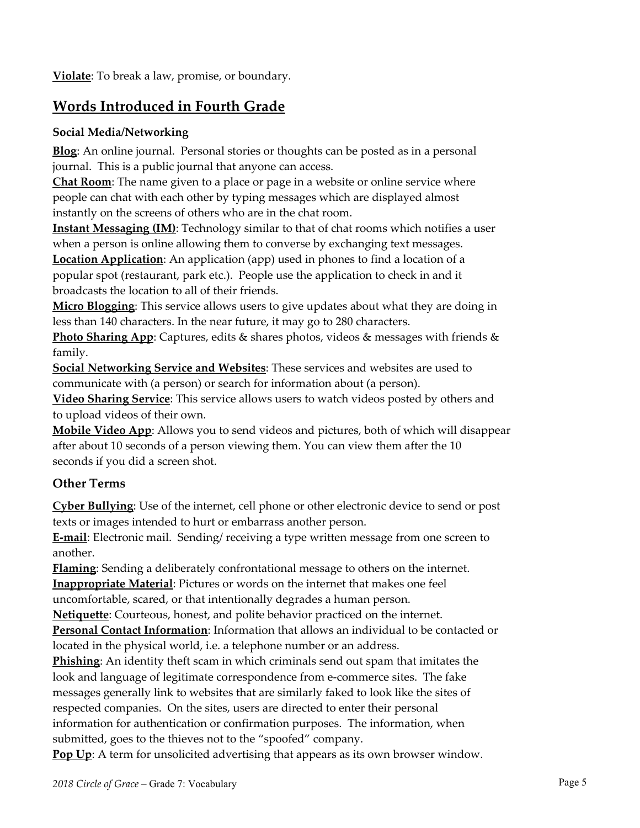**Violate**: To break a law, promise, or boundary.

## **Words Introduced in Fourth Grade**

#### **Social Media/Networking**

**Blog**: An online journal. Personal stories or thoughts can be posted as in a personal journal. This is a public journal that anyone can access.

**Chat Room**: The name given to a place or page in a website or online service where people can chat with each other by typing messages which are displayed almost instantly on the screens of others who are in the chat room.

**Instant Messaging (IM)**: Technology similar to that of chat rooms which notifies a user when a person is online allowing them to converse by exchanging text messages.

**Location Application**: An application (app) used in phones to find a location of a popular spot (restaurant, park etc.). People use the application to check in and it broadcasts the location to all of their friends.

**Micro Blogging**: This service allows users to give updates about what they are doing in less than 140 characters. In the near future, it may go to 280 characters.

**Photo Sharing App**: Captures, edits & shares photos, videos & messages with friends & family.

**Social Networking Service and Websites**: These services and websites are used to communicate with (a person) or search for information about (a person).

**Video Sharing Service**: This service allows users to watch videos posted by others and to upload videos of their own.

**Mobile Video App**: Allows you to send videos and pictures, both of which will disappear after about 10 seconds of a person viewing them. You can view them after the 10 seconds if you did a screen shot.

#### **Other Terms**

**Cyber Bullying**: Use of the internet, cell phone or other electronic device to send or post texts or images intended to hurt or embarrass another person.

**E‐mail**: Electronic mail. Sending/ receiving a type written message from one screen to another.

**Flaming**: Sending a deliberately confrontational message to others on the internet. **Inappropriate Material**: Pictures or words on the internet that makes one feel uncomfortable, scared, or that intentionally degrades a human person.

**Netiquette**: Courteous, honest, and polite behavior practiced on the internet.

**Personal Contact Information**: Information that allows an individual to be contacted or located in the physical world, i.e. a telephone number or an address.

**Phishing**: An identity theft scam in which criminals send out spam that imitates the look and language of legitimate correspondence from e‐commerce sites. The fake messages generally link to websites that are similarly faked to look like the sites of respected companies. On the sites, users are directed to enter their personal information for authentication or confirmation purposes. The information, when submitted, goes to the thieves not to the "spoofed" company.

**Pop Up**: A term for unsolicited advertising that appears as its own browser window.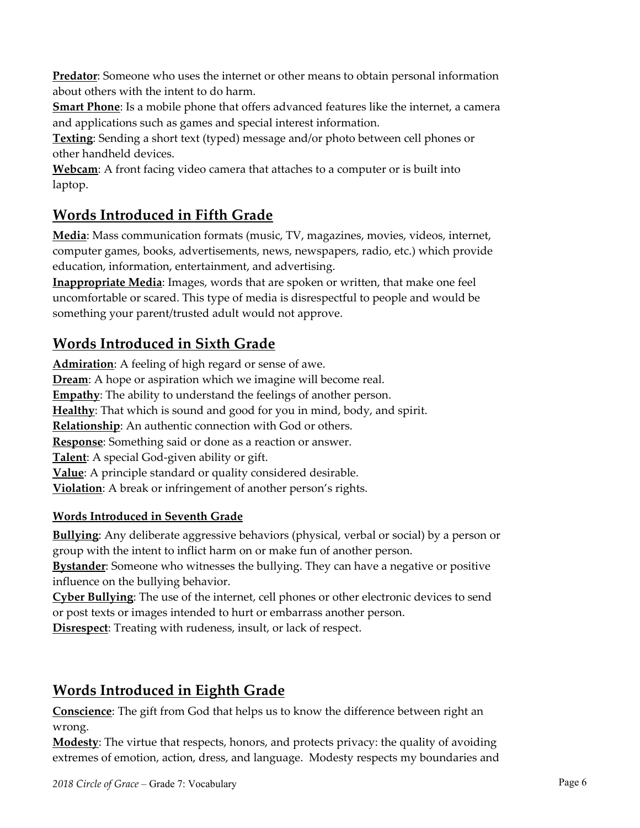**Predator**: Someone who uses the internet or other means to obtain personal information about others with the intent to do harm.

**Smart Phone**: Is a mobile phone that offers advanced features like the internet, a camera and applications such as games and special interest information.

**Texting**: Sending a short text (typed) message and/or photo between cell phones or other handheld devices.

**Webcam**: A front facing video camera that attaches to a computer or is built into laptop.

## **Words Introduced in Fifth Grade**

**Media**: Mass communication formats (music, TV, magazines, movies, videos, internet, computer games, books, advertisements, news, newspapers, radio, etc.) which provide education, information, entertainment, and advertising.

**Inappropriate Media**: Images, words that are spoken or written, that make one feel uncomfortable or scared. This type of media is disrespectful to people and would be something your parent/trusted adult would not approve.

## **Words Introduced in Sixth Grade**

**Admiration**: A feeling of high regard or sense of awe. **Dream**: A hope or aspiration which we imagine will become real. **Empathy**: The ability to understand the feelings of another person. **Healthy**: That which is sound and good for you in mind, body, and spirit. **Relationship**: An authentic connection with God or others. **Response**: Something said or done as a reaction or answer. **Talent**: A special God‐given ability or gift. **Value**: A principle standard or quality considered desirable. **Violation**: A break or infringement of another person's rights.

#### **Words Introduced in Seventh Grade**

**Bullying**: Any deliberate aggressive behaviors (physical, verbal or social) by a person or group with the intent to inflict harm on or make fun of another person.

**Bystander**: Someone who witnesses the bullying. They can have a negative or positive influence on the bullying behavior.

**Cyber Bullying**: The use of the internet, cell phones or other electronic devices to send or post texts or images intended to hurt or embarrass another person.

**Disrespect**: Treating with rudeness, insult, or lack of respect.

## **Words Introduced in Eighth Grade**

**Conscience**: The gift from God that helps us to know the difference between right an wrong.

**Modesty**: The virtue that respects, honors, and protects privacy: the quality of avoiding extremes of emotion, action, dress, and language. Modesty respects my boundaries and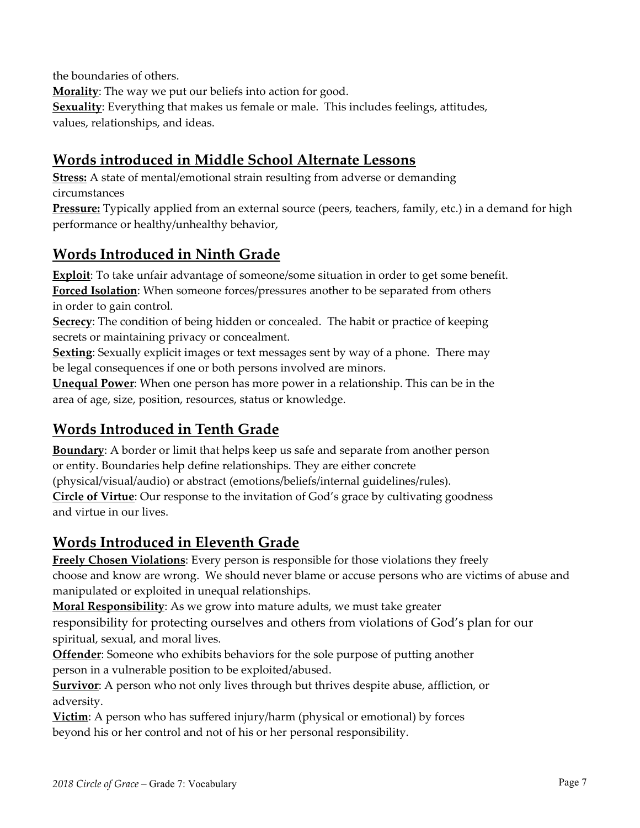the boundaries of others.

**Morality**: The way we put our beliefs into action for good. **Sexuality**: Everything that makes us female or male. This includes feelings, attitudes, values, relationships, and ideas.

## **Words introduced in Middle School Alternate Lessons**

**Stress:** A state of mental/emotional strain resulting from adverse or demanding circumstances

**Pressure:** Typically applied from an external source (peers, teachers, family, etc.) in a demand for high performance or healthy/unhealthy behavior,

## **Words Introduced in Ninth Grade**

**Exploit:** To take unfair advantage of someone/some situation in order to get some benefit. **Forced Isolation**: When someone forces/pressures another to be separated from others in order to gain control.

**Secrecy**: The condition of being hidden or concealed. The habit or practice of keeping secrets or maintaining privacy or concealment.

**Sexting**: Sexually explicit images or text messages sent by way of a phone. There may be legal consequences if one or both persons involved are minors.

**Unequal Power**: When one person has more power in a relationship. This can be in the area of age, size, position, resources, status or knowledge.

## **Words Introduced in Tenth Grade**

**Boundary**: A border or limit that helps keep us safe and separate from another person or entity. Boundaries help define relationships. They are either concrete (physical/visual/audio) or abstract (emotions/beliefs/internal guidelines/rules). **Circle of Virtue**: Our response to the invitation of God's grace by cultivating goodness and virtue in our lives.

## **Words Introduced in Eleventh Grade**

**Freely Chosen Violations**: Every person is responsible for those violations they freely choose and know are wrong. We should never blame or accuse persons who are victims of abuse and manipulated or exploited in unequal relationships.

**Moral Responsibility**: As we grow into mature adults, we must take greater

responsibility for protecting ourselves and others from violations of God's plan for our spiritual, sexual, and moral lives.

**Offender**: Someone who exhibits behaviors for the sole purpose of putting another person in a vulnerable position to be exploited/abused.

**Survivor**: A person who not only lives through but thrives despite abuse, affliction, or adversity.

**Victim**: A person who has suffered injury/harm (physical or emotional) by forces beyond his or her control and not of his or her personal responsibility.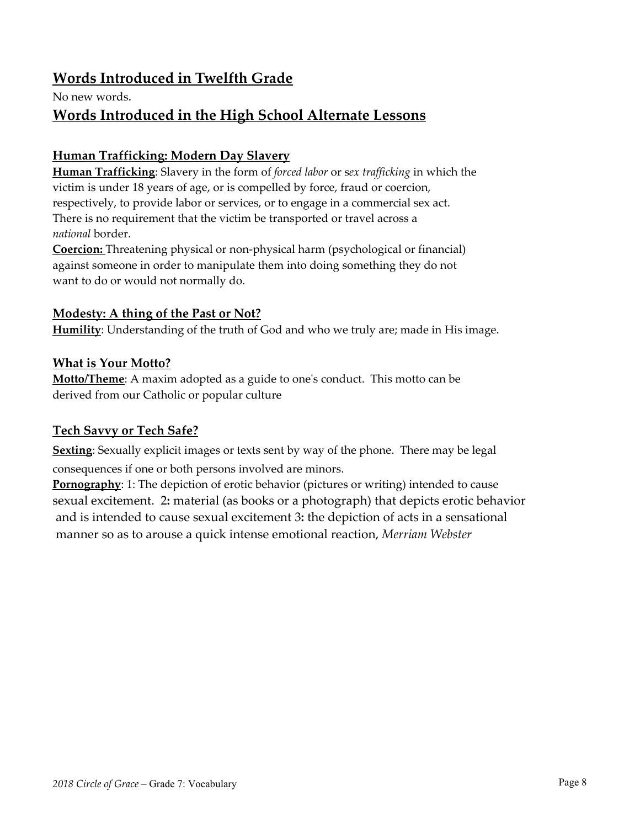### **Words Introduced in Twelfth Grade**

No new words.

### **Words Introduced in the High School Alternate Lessons**

#### **Human Trafficking: Modern Day Slavery**

**Human Trafficking**: Slavery in the form of *forced labor* or s*ex trafficking* in which the victim is under 18 years of age, or is compelled by force, fraud or coercion, respectively, to provide labor or services, or to engage in a commercial sex act. There is no requirement that the victim be transported or travel across a *national* border.

**Coercion:** Threatening physical or non-physical harm (psychological or financial) against someone in order to manipulate them into doing something they do not want to do or would not normally do.

#### **Modesty: A thing of the Past or Not?**

**Humility**: Understanding of the truth of God and who we truly are; made in His image.

#### **What is Your Motto?**

**Motto/Theme**: A maxim adopted as a guide to oneʹs conduct. This motto can be derived from our Catholic or popular culture

#### **Tech Savvy or Tech Safe?**

**Sexting**: Sexually explicit images or texts sent by way of the phone. There may be legal consequences if one or both persons involved are minors.

**Pornography**: 1: The depiction of erotic behavior (pictures or writing) intended to cause sexual excitement. 2**:** material (as books or a photograph) that depicts erotic behavior and is intended to cause sexual excitement 3**:** the depiction of acts in a sensational manner so as to arouse a quick intense emotional reaction, *Merriam Webster*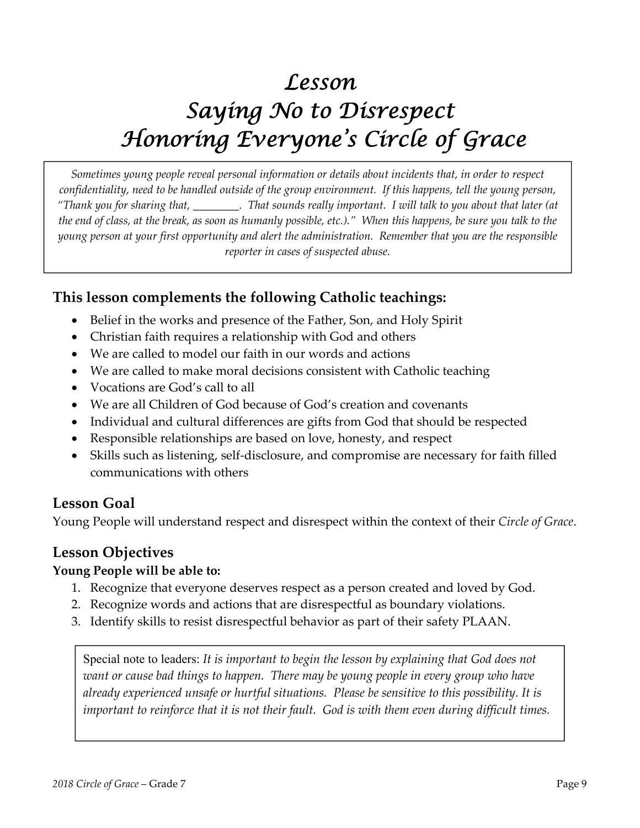# *Lesson Saying No to Disrespect Honoring Everyone's Circle of Grace*

*Sometimes young people reveal personal information or details about incidents that, in order to respect* confidentiality, need to be handled outside of the group environment. If this happens, tell the young person, "Thank you for sharing that, \_\_\_\_\_\_\_\_. That sounds really important. I will talk to you about that later (at the end of class, at the break, as soon as humanly possible, etc.)." When this happens, be sure you talk to the young person at your first opportunity and alert the administration. Remember that you are the responsible *reporter in cases of suspected abuse.*

## **This lesson complements the following Catholic teachings:**

- Belief in the works and presence of the Father, Son, and Holy Spirit
- Christian faith requires a relationship with God and others
- We are called to model our faith in our words and actions
- We are called to make moral decisions consistent with Catholic teaching
- Vocations are God's call to all
- We are all Children of God because of God's creation and covenants
- Individual and cultural differences are gifts from God that should be respected
- Responsible relationships are based on love, honesty, and respect
- Skills such as listening, self‐disclosure, and compromise are necessary for faith filled communications with others

### **Lesson Goal**

Young People will understand respect and disrespect within the context of their *Circle of Grace*.

## **Lesson Objectives**

#### **Young People will be able to:**

- 1. Recognize that everyone deserves respect as a person created and loved by God.
- 2. Recognize words and actions that are disrespectful as boundary violations.
- 3. Identify skills to resist disrespectful behavior as part of their safety PLAAN.

Special note to leaders: *It is important to begin the lesson by explaining that God does not want or cause bad things to happen. There may be young people in every group who have already experienced unsafe or hurtful situations. Please be sensitive to this possibility. It is important to reinforce that it is not their fault. God is with them even during difficult times.*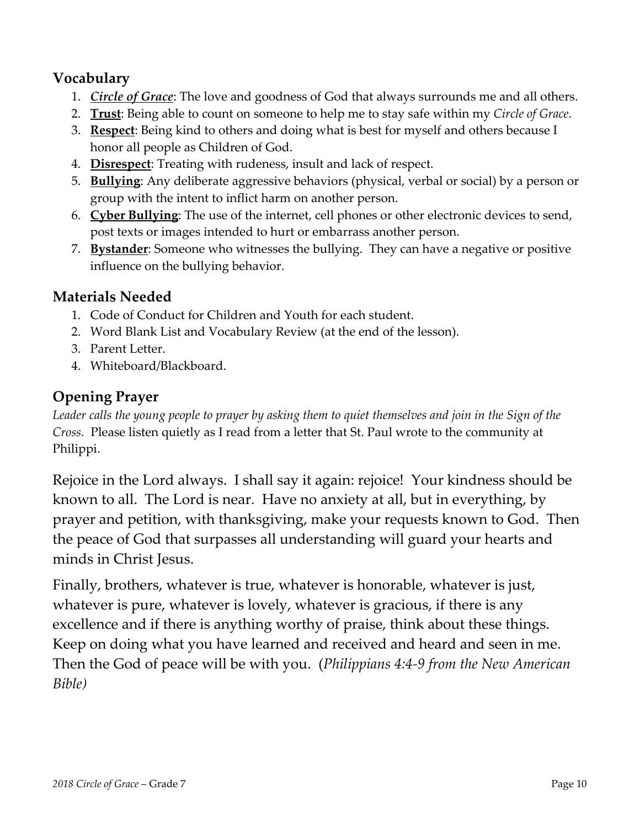## **Vocabulary**

- 1. *Circle of Grace*: The love and goodness of God that always surrounds me and all others.
- 2. **Trust**: Being able to count on someone to help me to stay safe within my *Circle of Grace*.
- 3. **Respect**: Being kind to others and doing what is best for myself and others because I honor all people as Children of God.
- 4. **Disrespect**: Treating with rudeness, insult and lack of respect.
- 5. **Bullying**: Any deliberate aggressive behaviors (physical, verbal or social) by a person or group with the intent to inflict harm on another person.
- 6. **Cyber Bullying**: The use of the internet, cell phones or other electronic devices to send, post texts or images intended to hurt or embarrass another person.
- 7. **Bystander**: Someone who witnesses the bullying. They can have a negative or positive influence on the bullying behavior.

## **Materials Needed**

- 1. Code of Conduct for Children and Youth for each student.
- 2. Word Blank List and Vocabulary Review (at the end of the lesson).
- 3. Parent Letter.
- 4. Whiteboard/Blackboard.

## **Opening Prayer**

Leader calls the young people to prayer by asking them to quiet themselves and join in the Sign of the *Cross.* Please listen quietly as I read from a letter that St. Paul wrote to the community at Philippi.

Rejoice in the Lord always. I shall say it again: rejoice! Your kindness should be known to all. The Lord is near. Have no anxiety at all, but in everything, by prayer and petition, with thanksgiving, make your requests known to God. Then the peace of God that surpasses all understanding will guard your hearts and minds in Christ Jesus.

Finally, brothers, whatever is true, whatever is honorable, whatever is just, whatever is pure, whatever is lovely, whatever is gracious, if there is any excellence and if there is anything worthy of praise, think about these things. Keep on doing what you have learned and received and heard and seen in me. Then the God of peace will be with you. (*Philippians 4:4‐9 from the New American Bible)*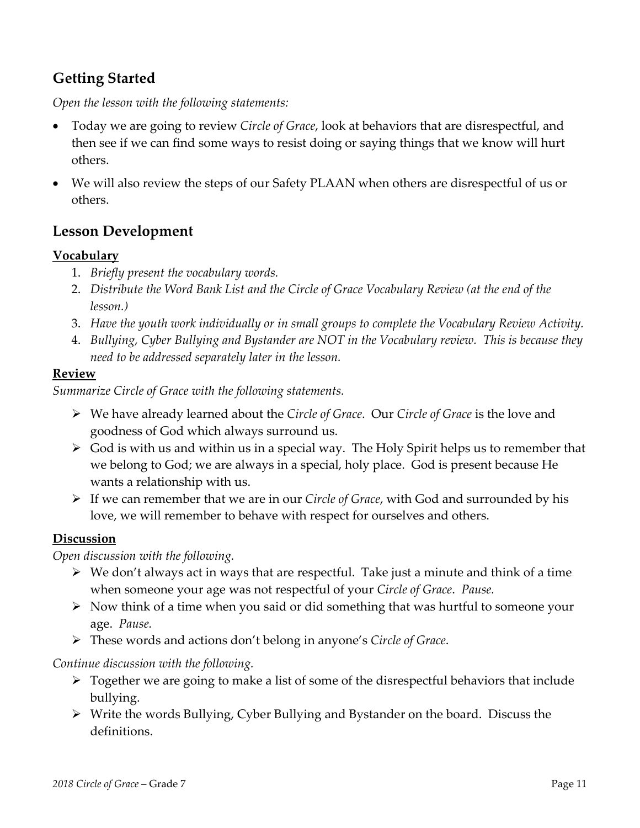## **Getting Started**

*Open the lesson with the following statements:*

- Today we are going to review *Circle of Grace*, look at behaviors that are disrespectful, and then see if we can find some ways to resist doing or saying things that we know will hurt others.
- We will also review the steps of our Safety PLAAN when others are disrespectful of us or others.

## **Lesson Development**

#### **Vocabulary**

- 1. *Briefly present the vocabulary words.*
- 2. *Distribute the Word Bank List and the Circle of Grace Vocabulary Review (at the end of the lesson.)*
- 3. *Have the youth work individually or in small groups to complete the Vocabulary Review Activity.*
- 4. *Bullying, Cyber Bullying and Bystander are NOT in the Vocabulary review. This is because they need to be addressed separately later in the lesson.*

#### **Review**

*Summarize Circle of Grace with the following statements.*

- We have already learned about the *Circle of Grace*. Our *Circle of Grace* is the love and goodness of God which always surround us.
- $\triangleright$  God is with us and within us in a special way. The Holy Spirit helps us to remember that we belong to God; we are always in a special, holy place. God is present because He wants a relationship with us.
- If we can remember that we are in our *Circle of Grace*, with God and surrounded by his love, we will remember to behave with respect for ourselves and others.

#### **Discussion**

*Open discussion with the following.*

- We don't always act in ways that are respectful. Take just a minute and think of a time when someone your age was not respectful of your *Circle of Grace*. *Pause.*
- $\triangleright$  Now think of a time when you said or did something that was hurtful to someone your age. *Pause.*
- These words and actions don't belong in anyone's *Circle of Grace*.

#### *Continue discussion with the following.*

- $\triangleright$  Together we are going to make a list of some of the disrespectful behaviors that include bullying.
- Write the words Bullying, Cyber Bullying and Bystander on the board. Discuss the definitions.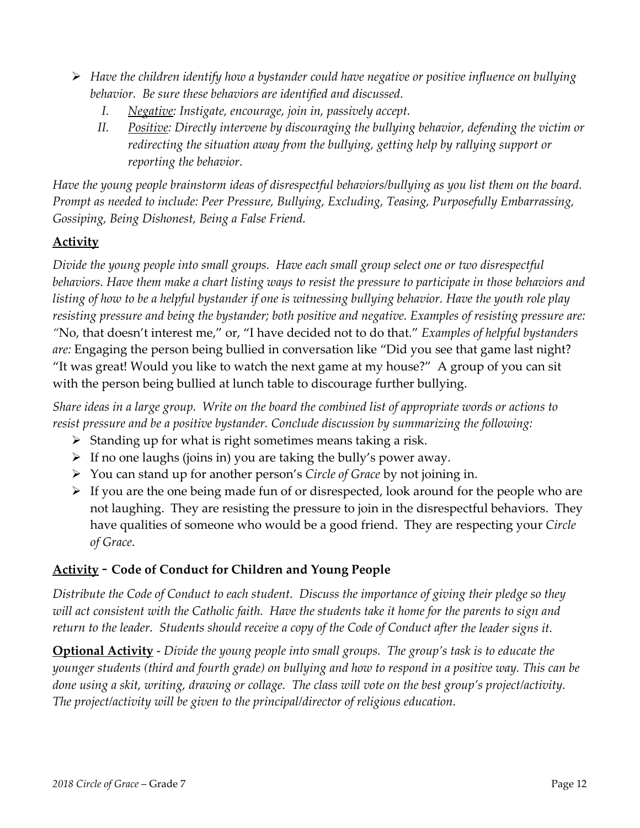- *Have the children identify how a bystander could have negative or positive influence on bullying behavior. Be sure these behaviors are identified and discussed.*
	- *I. Negative: Instigate, encourage, join in, passively accept.*
	- *II. Positive: Directly intervene by discouraging the bullying behavior, defending the victim or redirecting the situation away from the bullying, getting help by rallying support or reporting the behavior.*

Have the young people brainstorm ideas of disrespectful behaviors/bullying as you list them on the board. *Prompt as needed to include: Peer Pressure, Bullying, Excluding, Teasing, Purposefully Embarrassing, Gossiping, Being Dishonest, Being a False Friend.* 

### **Activity**

*Divide the young people into small groups. Have each small group select one or two disrespectful* behaviors. Have them make a chart listing ways to resist the pressure to participate in those behaviors and listing of how to be a helpful bystander if one is witnessing bullying behavior. Have the youth role play *resisting pressure and being the bystander; both positive and negative. Examples of resisting pressure are: "*No, that doesn't interest me," or, "I have decided not to do that." *Examples of helpful bystanders are:* Engaging the person being bullied in conversation like "Did you see that game last night? "It was great! Would you like to watch the next game at my house?" A group of you can sit with the person being bullied at lunch table to discourage further bullying.

Share ideas in a large group. Write on the board the combined list of appropriate words or actions to *resist pressure and be a positive bystander. Conclude discussion by summarizing the following:*

- $\triangleright$  Standing up for what is right sometimes means taking a risk.
- $\triangleright$  If no one laughs (joins in) you are taking the bully's power away.
- You can stand up for another person's *Circle of Grace* by not joining in.
- $\triangleright$  If you are the one being made fun of or disrespected, look around for the people who are not laughing. They are resisting the pressure to join in the disrespectful behaviors. They have qualities of someone who would be a good friend. They are respecting your *Circle of Grace*.

### **Activity** ‐ **Code of Conduct for Children and Young People**

Distribute the Code of Conduct to each student. Discuss the importance of giving their pledge so they will act consistent with the Catholic faith. Have the students take it home for the parents to sign and return to the leader. Students should receive a copy of the Code of Conduct after the leader signs it.

**Optional Activity** ‐ *Divide the young people into small groups. The group's task is to educate the* younger students (third and fourth grade) on bullying and how to respond in a positive way. This can be done using a skit, writing, drawing or collage. The class will vote on the best group's project/activity. *The project/activity will be given to the principal/director of religious education.*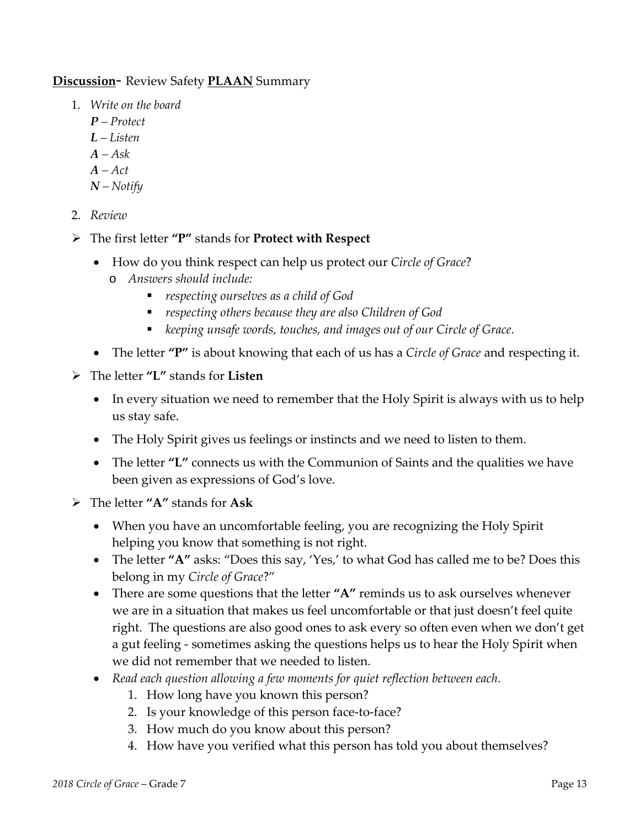#### **Discussion**‐ Review Safety **PLAAN** Summary

- 1. *Write on the board*
	- *P – Protect*
	- *L – Listen*
	- *A – Ask*
	- *A – Act*
	- *N – Notify*
- 2. *Review*
- The first letter **"P"** stands for **Protect with Respect**
	- How do you think respect can help us protect our *Circle of Grace*?
		- o *Answers should include:*
			- *respecting ourselves as a child of God*
			- *respecting others because they are also Children of God*
			- *keeping unsafe words, touches, and images out of our Circle of Grace.*
	- The letter **"P"** is about knowing that each of us has a *Circle of Grace* and respecting it.
- The letter **"L"** stands for **Listen**
	- In every situation we need to remember that the Holy Spirit is always with us to help us stay safe.
	- The Holy Spirit gives us feelings or instincts and we need to listen to them.
	- The letter **"L"** connects us with the Communion of Saints and the qualities we have been given as expressions of God's love.
- The letter **"A"** stands for **Ask**
	- When you have an uncomfortable feeling, you are recognizing the Holy Spirit helping you know that something is not right.
	- The letter **"A"** asks: "Does this say, 'Yes,' to what God has called me to be? Does this belong in my *Circle of Grace*?"
	- There are some questions that the letter **"A"** reminds us to ask ourselves whenever we are in a situation that makes us feel uncomfortable or that just doesn't feel quite right. The questions are also good ones to ask every so often even when we don't get a gut feeling ‐ sometimes asking the questions helps us to hear the Holy Spirit when we did not remember that we needed to listen.
	- *Read each question allowing a few moments for quiet reflection between each.*
		- 1. How long have you known this person?
		- 2. Is your knowledge of this person face-to-face?
		- 3. How much do you know about this person?
		- 4. How have you verified what this person has told you about themselves?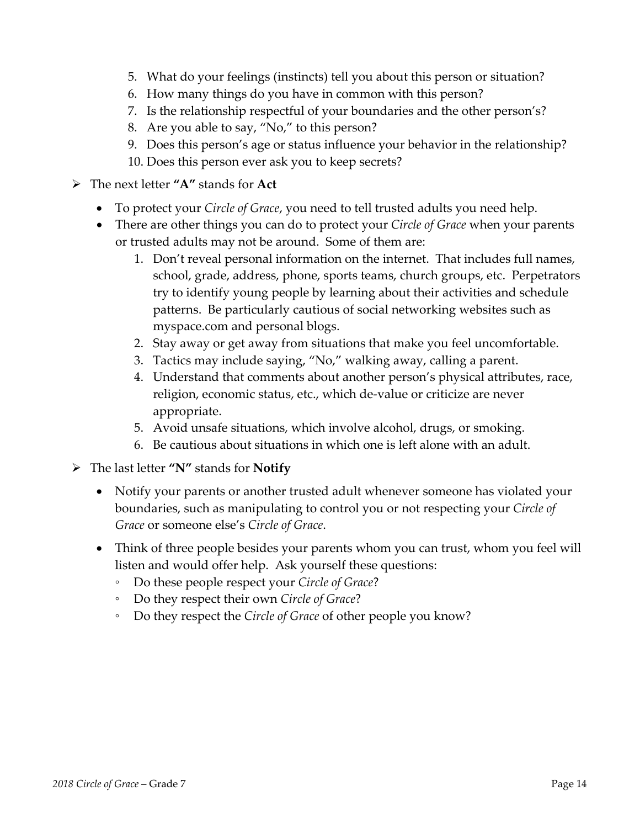- 5. What do your feelings (instincts) tell you about this person or situation?
- 6. How many things do you have in common with this person?
- 7. Is the relationship respectful of your boundaries and the other person's?
- 8. Are you able to say, "No," to this person?
- 9. Does this person's age or status influence your behavior in the relationship?
- 10. Does this person ever ask you to keep secrets?
- The next letter **"A"** stands for **Act**
	- To protect your *Circle of Grace*, you need to tell trusted adults you need help.
	- There are other things you can do to protect your *Circle of Grace* when your parents or trusted adults may not be around. Some of them are:
		- 1. Don't reveal personal information on the internet. That includes full names, school, grade, address, phone, sports teams, church groups, etc. Perpetrators try to identify young people by learning about their activities and schedule patterns. Be particularly cautious of social networking websites such as myspace.com and personal blogs.
		- 2. Stay away or get away from situations that make you feel uncomfortable.
		- 3. Tactics may include saying, "No," walking away, calling a parent.
		- 4. Understand that comments about another person's physical attributes, race, religion, economic status, etc., which de‐value or criticize are never appropriate.
		- 5. Avoid unsafe situations, which involve alcohol, drugs, or smoking.
		- 6. Be cautious about situations in which one is left alone with an adult.
- The last letter **"N"** stands for **Notify**
	- Notify your parents or another trusted adult whenever someone has violated your boundaries, such as manipulating to control you or not respecting your *Circle of Grace* or someone else's *Circle of Grace*.
	- Think of three people besides your parents whom you can trust, whom you feel will listen and would offer help. Ask yourself these questions:
		- Do these people respect your *Circle of Grace*?
		- Do they respect their own *Circle of Grace*?
		- Do they respect the *Circle of Grace* of other people you know?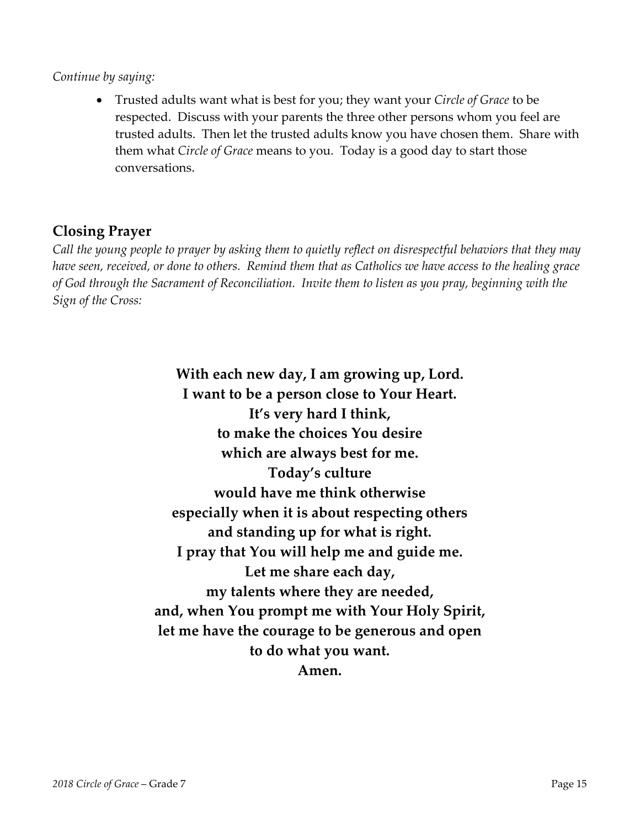#### *Continue by saying:*

 Trusted adults want what is best for you; they want your *Circle of Grace* to be respected. Discuss with your parents the three other persons whom you feel are trusted adults. Then let the trusted adults know you have chosen them. Share with them what *Circle of Grace* means to you. Today is a good day to start those conversations.

### **Closing Prayer**

Call the young people to prayer by asking them to quietly reflect on disrespectful behaviors that they may have seen, received, or done to others. Remind them that as Catholics we have access to the healing grace of God through the Sacrament of Reconciliation. Invite them to listen as you pray, beginning with the *Sign of the Cross:*

> **With each new day, I am growing up, Lord. I want to be a person close to Your Heart. It's very hard I think, to make the choices You desire which are always best for me. Today's culture would have me think otherwise especially when it is about respecting others and standing up for what is right. I pray that You will help me and guide me. Let me share each day, my talents where they are needed, and, when You prompt me with Your Holy Spirit, let me have the courage to be generous and open to do what you want. Amen.**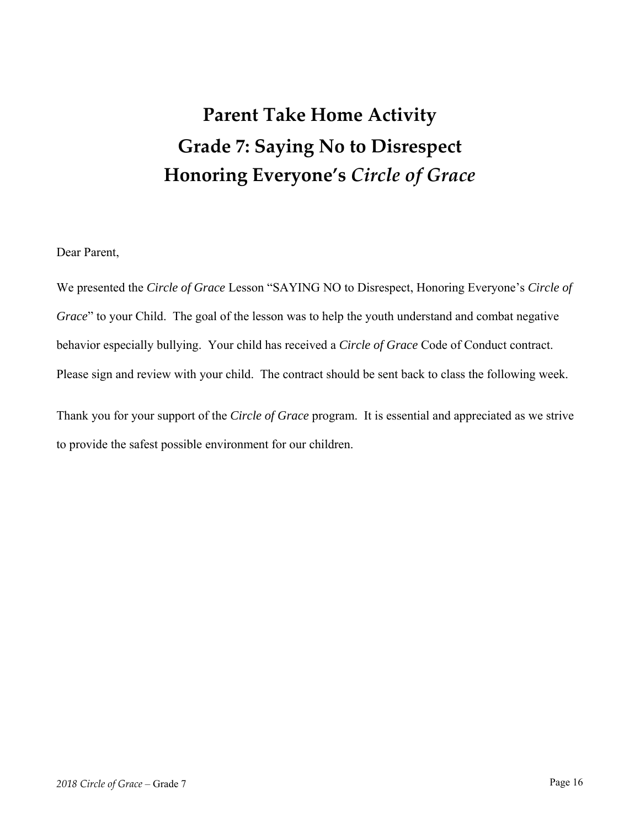## **Parent Take Home Activity Grade 7: Saying No to Disrespect Honoring Everyone's** *Circle of Grace*

Dear Parent,

We presented the *Circle of Grace* Lesson "SAYING NO to Disrespect, Honoring Everyone's *Circle of Grace*" to your Child. The goal of the lesson was to help the youth understand and combat negative behavior especially bullying. Your child has received a *Circle of Grace* Code of Conduct contract. Please sign and review with your child. The contract should be sent back to class the following week.

Thank you for your support of the *Circle of Grace* program. It is essential and appreciated as we strive to provide the safest possible environment for our children.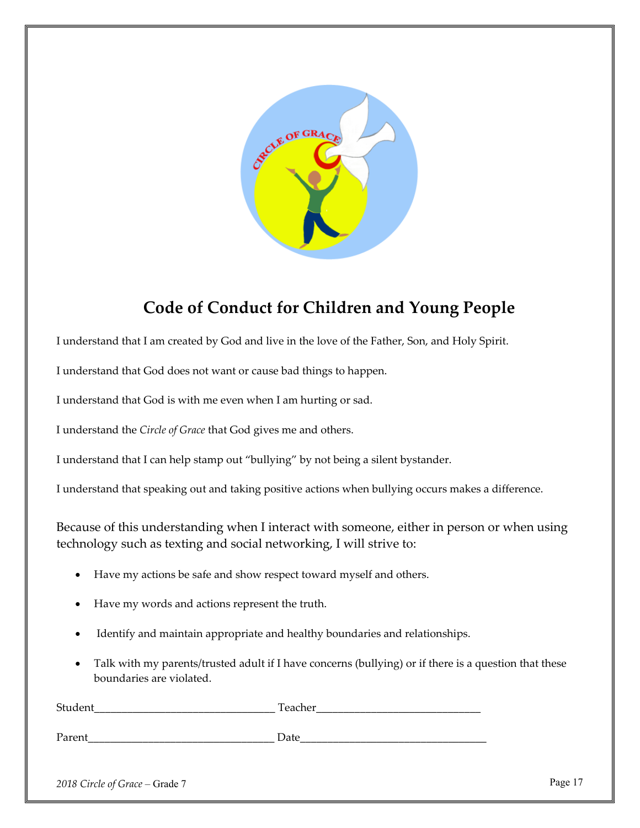

## **Code of Conduct for Children and Young People**

I understand that I am created by God and live in the love of the Father, Son, and Holy Spirit.

I understand that God does not want or cause bad things to happen.

I understand that God is with me even when I am hurting or sad.

I understand the *Circle of Grace* that God gives me and others.

I understand that I can help stamp out "bullying" by not being a silent bystander.

I understand that speaking out and taking positive actions when bullying occurs makes a difference.

Because of this understanding when I interact with someone, either in person or when using technology such as texting and social networking, I will strive to:

- Have my actions be safe and show respect toward myself and others.
- Have my words and actions represent the truth.
- Identify and maintain appropriate and healthy boundaries and relationships.
- Talk with my parents/trusted adult if I have concerns (bullying) or if there is a question that these boundaries are violated.

| مدحامات حاجا |
|--------------|
|              |

Parent **Date**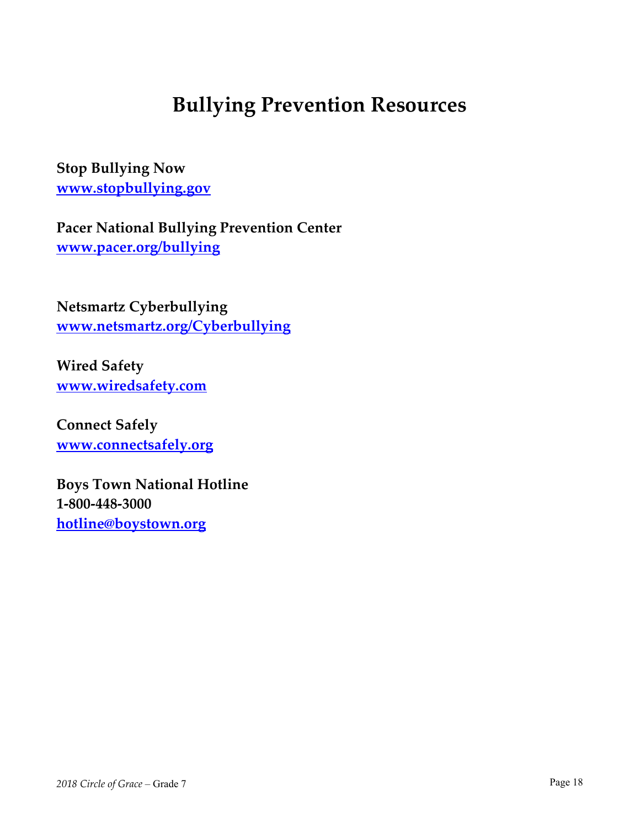## **Bullying Prevention Resources**

**Stop Bullying Now www.stopbullying.gov**

**Pacer National Bullying Prevention Center www.pacer.org/bullying** 

**Netsmartz Cyberbullying www.netsmartz.org/Cyberbullying** 

**Wired Safety www.wiredsafety.com** 

**Connect Safely www.connectsafely.org** 

**Boys Town National Hotline 1‐800‐448‐3000 hotline@boystown.org**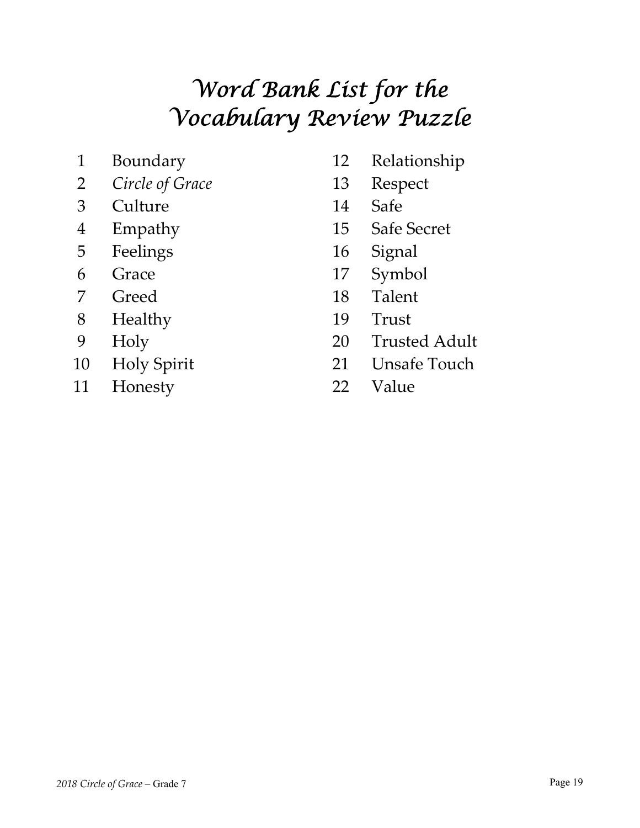# *Word Bank List for the Vocabulary Review Puzzle*

- 
- *Circle of Grace* 13 Respect
- Culture 14 Safe
- 
- Feelings 16 Signal
- 
- 
- Healthy 19 Trust
- 
- 
- Honesty 22 Value
- Boundary 12 Relationship
	-
	-
- Empathy 15 Safe Secret
	-
- Grace 17 Symbol
- 7 Greed 18 Talent
	-
- Holy 20 Trusted Adult
- Holy Spirit 21 Unsafe Touch
	-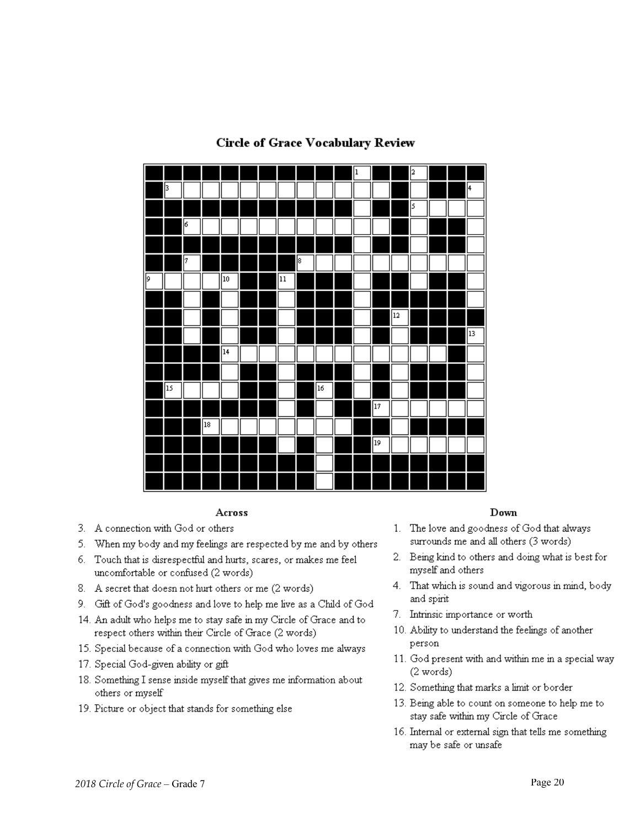

#### **Circle of Grace Vocabulary Review**

#### Across

- 3. A connection with God or others
- 5. When my body and my feelings are respected by me and by others
- 6. Touch that is disrespectful and hurts, scares, or makes me feel uncomfortable or confused (2 words)
- 8. A secret that doesn not hurt others or me (2 words)
- 9. Gift of God's goodness and love to help me live as a Child of God
- 14. An adult who helps me to stay safe in my Circle of Grace and to respect others within their Circle of Grace (2 words)
- 15. Special because of a connection with God who loves me always
- 17. Special God-given ability or gift
- 18. Something I sense inside myself that gives me information about others or myself
- 19. Picture or object that stands for something else

#### Down

- 1. The love and goodness of God that always surrounds me and all others (3 words)
- 2. Being kind to others and doing what is best for myself and others
- 4. That which is sound and vigorous in mind, body and spirit
- 7. Intrinsic importance or worth
- 10. Ability to understand the feelings of another person
- 11. God present with and within me in a special way (2 words)
- 12. Something that marks a limit or border
- 13. Being able to count on someone to help me to stay safe within my Circle of Grace
- 16. Internal or external sign that tells me something may be safe or unsafe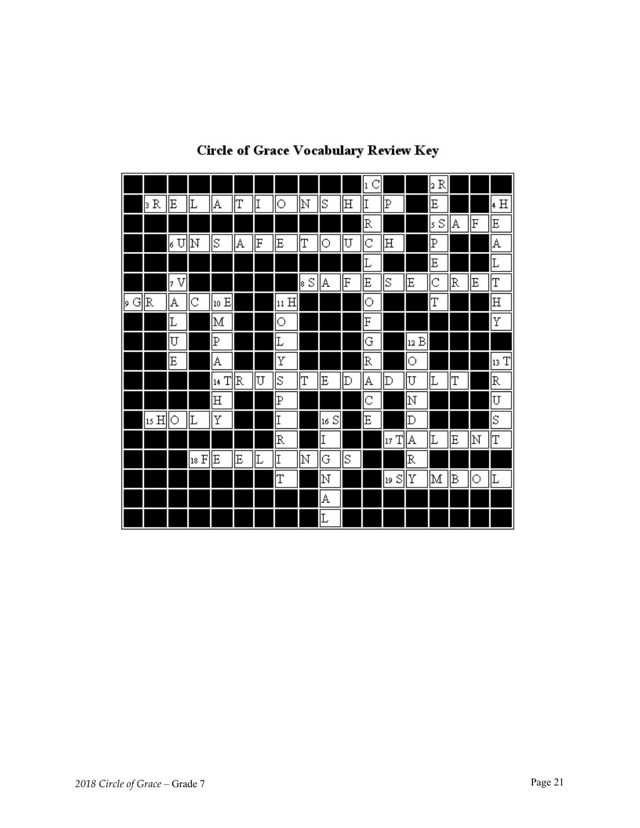|         |                   |         |      |         |   |    |                      |            |         |        | C<br>1 |         |             | $ _2R $ |    |    |         |
|---------|-------------------|---------|------|---------|---|----|----------------------|------------|---------|--------|--------|---------|-------------|---------|----|----|---------|
|         | $\mathbb R$<br>ß. | E       |      | A       | T | II | $\circ$              | $ {\rm N}$ | ΙS      | ⊪      | I      | P       |             | E       |    |    | 4 H     |
|         |                   |         |      |         |   |    |                      |            |         |        | R      |         |             | S<br> s | A  | F  | E       |
|         |                   | U<br>lσ | ļΝ   | S       | A | F  | E                    | IΤ         | О       | U      | Iс     | 田       |             | Þ       |    |    | A       |
|         |                   |         |      |         |   |    |                      |            |         |        | Ŀ      |         |             | E       |    |    | Ŀ       |
|         |                   | V<br>þ  |      |         |   |    |                      | S<br>18    | A       | F      | E      | ΙS      | E           | C       | R  | E  | Τ       |
| G<br>þ. | R                 | А       | C    | 10 E    |   |    | $ {\rm n}\;{\rm H} $ |            |         |        | 0      |         |             | T       |    |    | 田       |
|         |                   | Ŀ       |      | M       |   |    | $\circ$              |            |         |        | F      |         |             |         |    |    | Υ       |
|         |                   | U       |      | P       |   |    | Ŀ                    |            |         |        | G      |         | [12 B       |         |    |    |         |
|         |                   | E       |      | A       |   |    | Υ                    |            |         |        | R      |         | О           |         |    |    | T<br>13 |
|         |                   |         |      | T<br>14 | R | U  | S                    | ļΤ         | E       | $ D\>$ | A      | Þ       | U           | Ŀ       | Τ  |    | R       |
|         |                   |         |      | 田       |   |    | P                    |            |         |        | C      |         | ļΝ          |         |    |    | U       |
|         | 15 H              | О       | Ŀ    | Υ       |   |    | I                    |            | S<br>16 |        | E      |         | $\mathbb D$ |         |    |    | S       |
|         |                   |         |      |         |   |    | R                    |            | I       |        |        | T<br>17 | A           | Ŀ       | E  | lΝ | IΤ      |
|         |                   |         | 18 F | Ε       | Ε | Ŀ  | II                   | ļΝ         | G       | ls     |        |         | R           |         |    |    |         |
|         |                   |         |      |         |   |    | Τ                    |            | N       |        |        | S<br>19 | Υ           | M       | ΙB | О  | Ŀ       |
|         |                   |         |      |         |   |    |                      |            | A       |        |        |         |             |         |    |    |         |
|         |                   |         |      |         |   |    |                      |            | Ŀ       |        |        |         |             |         |    |    |         |

## **Circle of Grace Vocabulary Review Key**